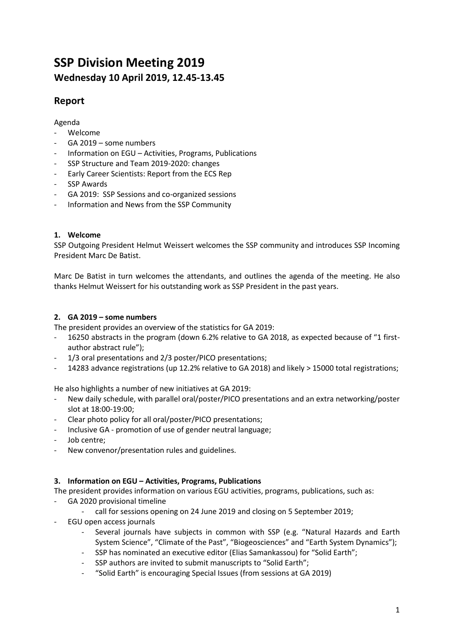# **SSP Division Meeting 2019 Wednesday 10 April 2019, 12.45-13.45**

## **Report**

### Agenda

- Welcome
- GA 2019 some numbers
- Information on EGU Activities, Programs, Publications
- SSP Structure and Team 2019-2020: changes
- Early Career Scientists: Report from the ECS Rep
- SSP Awards
- GA 2019: SSP Sessions and co-organized sessions
- Information and News from the SSP Community

#### **1. Welcome**

SSP Outgoing President Helmut Weissert welcomes the SSP community and introduces SSP Incoming President Marc De Batist.

Marc De Batist in turn welcomes the attendants, and outlines the agenda of the meeting. He also thanks Helmut Weissert for his outstanding work as SSP President in the past years.

#### **2. GA 2019 – some numbers**

The president provides an overview of the statistics for GA 2019:

- 16250 abstracts in the program (down 6.2% relative to GA 2018, as expected because of "1 firstauthor abstract rule");
- 1/3 oral presentations and 2/3 poster/PICO presentations;
- 14283 advance registrations (up 12.2% relative to GA 2018) and likely > 15000 total registrations;

He also highlights a number of new initiatives at GA 2019:

- New daily schedule, with parallel oral/poster/PICO presentations and an extra networking/poster slot at 18:00-19:00;
- Clear photo policy for all oral/poster/PICO presentations;
- Inclusive GA promotion of use of gender neutral language;
- Job centre;
- New convenor/presentation rules and guidelines.

#### **3. Information on EGU – Activities, Programs, Publications**

The president provides information on various EGU activities, programs, publications, such as:

- GA 2020 provisional timeline
	- call for sessions opening on 24 June 2019 and closing on 5 September 2019;
- EGU open access journals
	- Several journals have subjects in common with SSP (e.g. "Natural Hazards and Earth System Science", "Climate of the Past", "Biogeosciences" and "Earth System Dynamics");
	- SSP has nominated an executive editor (Elias Samankassou) for "Solid Earth";
	- SSP authors are invited to submit manuscripts to "Solid Earth";
	- "Solid Earth" is encouraging Special Issues (from sessions at GA 2019)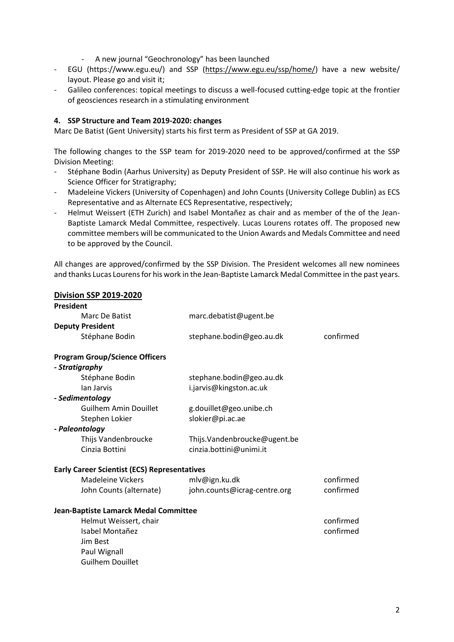- A new journal "Geochronology" has been launched
- EGU (https://www.egu.eu/) and SSP (https://www.egu.eu/ssp/home/) have a new website/ layout. Please go and visit it;
- Galileo conferences: topical meetings to discuss a well-focused cutting-edge topic at the frontier of geosciences research in a stimulating environment

#### **4. SSP Structure and Team 2019-2020: changes**

Marc De Batist (Gent University) starts his first term as President of SSP at GA 2019.

The following changes to the SSP team for 2019-2020 need to be approved/confirmed at the SSP Division Meeting:

- Stéphane Bodin (Aarhus University) as Deputy President of SSP. He will also continue his work as Science Officer for Stratigraphy;
- Madeleine Vickers (University of Copenhagen) and John Counts (University College Dublin) as ECS Representative and as Alternate ECS Representative, respectively;
- Helmut Weissert (ETH Zurich) and Isabel Montañez as chair and as member of the of the Jean-Baptiste Lamarck Medal Committee, respectively. Lucas Lourens rotates off. The proposed new committee members will be communicated to the Union Awards and Medals Committee and need to be approved by the Council.

All changes are approved/confirmed by the SSP Division. The President welcomes all new nominees and thanks Lucas Lourens for his work in the Jean-Baptiste Lamarck Medal Committee in the past years.

#### **Division SSP 2019-2020 President**

| Marc De Batist                                      | marc.debatist@ugent.be       |           |
|-----------------------------------------------------|------------------------------|-----------|
| <b>Deputy President</b>                             |                              |           |
| Stéphane Bodin                                      | stephane.bodin@geo.au.dk     | confirmed |
| <b>Program Group/Science Officers</b>               |                              |           |
| - Stratigraphy                                      |                              |           |
| Stéphane Bodin                                      | stephane.bodin@geo.au.dk     |           |
| lan Jarvis                                          | i.jarvis@kingston.ac.uk      |           |
| - Sedimentology                                     |                              |           |
| <b>Guilhem Amin Douillet</b>                        | g.douillet@geo.unibe.ch      |           |
| Stephen Lokier                                      | slokier@pi.ac.ae             |           |
| - Paleontology                                      |                              |           |
| Thijs Vandenbroucke                                 | Thijs.Vandenbroucke@ugent.be |           |
| Cinzia Bottini                                      | cinzia.bottini@unimi.it      |           |
| <b>Early Career Scientist (ECS) Representatives</b> |                              |           |
| <b>Madeleine Vickers</b>                            | mlv@ign.ku.dk                | confirmed |
| John Counts (alternate)                             | john.counts@icrag-centre.org | confirmed |
| Jean-Baptiste Lamarck Medal Committee               |                              |           |
| Helmut Weissert, chair                              |                              | confirmed |
| Isabel Montañez                                     |                              | confirmed |
| Jim Best                                            |                              |           |
| Paul Wignall                                        |                              |           |
| <b>Guilhem Douillet</b>                             |                              |           |
|                                                     |                              |           |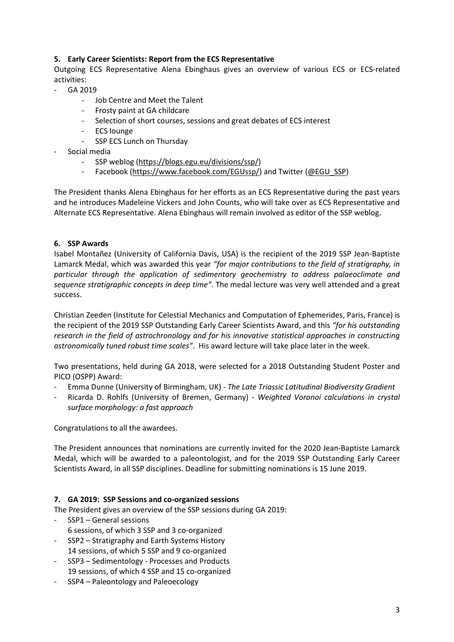#### **5. Early Career Scientists: Report from the ECS Representative**

Outgoing ECS Representative Alena Ebinghaus gives an overview of various ECS or ECS-related activities:

- GA 2019
	- Job Centre and Meet the Talent
	- Frosty paint at GA childcare
	- Selection of short courses, sessions and great debates of ECS interest
	- ECS lounge
	- SSP ECS Lunch on Thursday
- Social media
	- SSP weblog (https://blogs.egu.eu/divisions/ssp/)
	- Facebook (https://www.facebook.com/EGUssp/) and Twitter (@EGU\_SSP)

The President thanks Alena Ebinghaus for her efforts as an ECS Representative during the past years and he introduces Madeleine Vickers and John Counts, who will take over as ECS Representative and Alternate ECS Representative. Alena Ebinghaus will remain involved as editor of the SSP weblog.

#### **6. SSP Awards**

Isabel Montañez (University of California Davis, USA) is the recipient of the 2019 SSP Jean-Baptiste Lamarck Medal, which was awarded this year *"for major contributions to the field of stratigraphy, in particular through the application of sedimentary geochemistry to address palaeoclimate and sequence stratigraphic concepts in deep time"*. The medal lecture was very well attended and a great success.

Christian Zeeden (Institute for Celestial Mechanics and Computation of Ephemerides, Paris, France) is the recipient of the 2019 SSP Outstanding Early Career Scientists Award, and this *"for his outstanding research in the field of astrochronology and for his innovative statistical approaches in constructing astronomically tuned robust time scales"*. His award lecture will take place later in the week.

Two presentations, held during GA 2018, were selected for a 2018 Outstanding Student Poster and PICO (OSPP) Award:

- Emma Dunne (University of Birmingham, UK) *The Late Triassic Latitudinal Biodiversity Gradient*
- Ricarda D. Rohlfs (University of Bremen, Germany) *Weighted Voronoi calculations in crystal surface morphology: a fast approach*

Congratulations to all the awardees.

The President announces that nominations are currently invited for the 2020 Jean-Baptiste Lamarck Medal, which will be awarded to a paleontologist, and for the 2019 SSP Outstanding Early Career Scientists Award, in all SSP disciplines. Deadline for submitting nominations is 15 June 2019.

#### **7. GA 2019: SSP Sessions and co-organized sessions**

The President gives an overview of the SSP sessions during GA 2019:

- SSP1 General sessions 6 sessions, of which 3 SSP and 3 co-organized
- SSP2 Stratigraphy and Earth Systems History 14 sessions, of which 5 SSP and 9 co-organized
- SSP3 Sedimentology Processes and Products 19 sessions, of which 4 SSP and 15 co-organized
- SSP4 Paleontology and Paleoecology